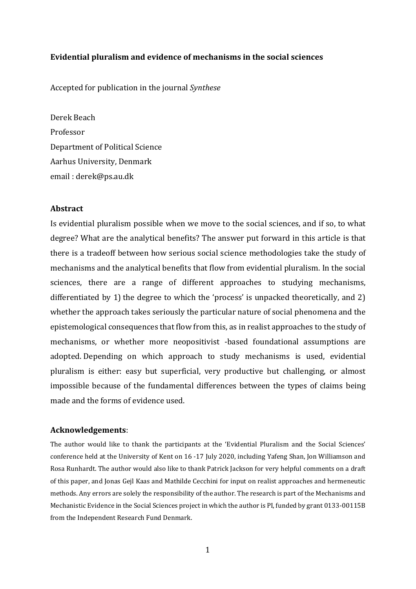# **Evidential pluralism and evidence of mechanisms in the social sciences**

Accepted for publication in the journal *Synthese*

Derek Beach Professor Department of Political Science Aarhus University, Denmark email : derek@ps.au.dk

# **Abstract**

Is evidential pluralism possible when we move to the social sciences, and if so, to what degree? What are the analytical benefits? The answer put forward in this article is that there is a tradeoff between how serious social science methodologies take the study of mechanisms and the analytical benefits that flow from evidential pluralism. In the social sciences, there are a range of different approaches to studying mechanisms, differentiated by 1) the degree to which the 'process' is unpacked theoretically, and 2) whether the approach takes seriously the particular nature of social phenomena and the epistemological consequences that flow from this, as in realist approaches to the study of mechanisms, or whether more neopositivist -based foundational assumptions are adopted. Depending on which approach to study mechanisms is used, evidential pluralism is either: easy but superficial, very productive but challenging, or almost impossible because of the fundamental differences between the types of claims being made and the forms of evidence used.

#### **Acknowledgements**:

The author would like to thank the participants at the 'Evidential Pluralism and the Social Sciences' conference held at the University of Kent on 16 -17 July 2020, including Yafeng Shan, Jon Williamson and Rosa Runhardt. The author would also like to thank Patrick Jackson for very helpful comments on a draft of this paper, and Jonas Gejl Kaas and Mathilde Cecchini for input on realist approaches and hermeneutic methods. Any errors are solely the responsibility of the author. The research is part of the Mechanisms and Mechanistic Evidence in the Social Sciences project in which the author is PI, funded by grant 0133-00115B from the Independent Research Fund Denmark.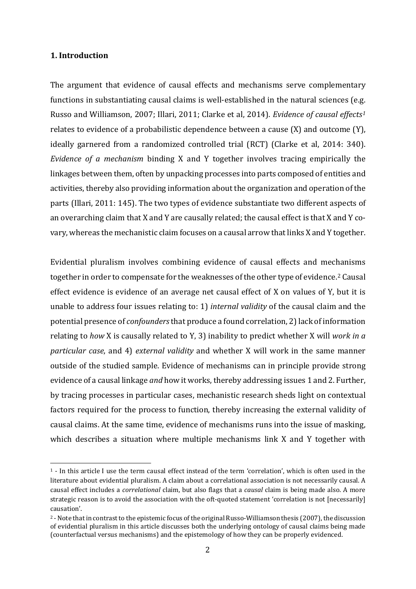# **1. Introduction**

The argument that evidence of causal effects and mechanisms serve complementary functions in substantiating causal claims is well-established in the natural sciences (e.g. Russo and Williamson, 2007; Illari, 2011; Clarke et al, 2014). *Evidence of causal effects[1](#page-1-0)* relates to evidence of a probabilistic dependence between a cause (X) and outcome (Y), ideally garnered from a randomized controlled trial (RCT) (Clarke et al, 2014: 340). *Evidence of a mechanism* binding X and Y together involves tracing empirically the linkages between them, often by unpacking processes into parts composed of entities and activities, thereby also providing information about the organization and operation of the parts (Illari, 2011: 145). The two types of evidence substantiate two different aspects of an overarching claim that X and Y are causally related; the causal effect is that X and Y covary, whereas the mechanistic claim focuses on a causal arrow that links X and Y together.

Evidential pluralism involves combining evidence of causal effects and mechanisms together in order to compensate for the weaknesses of the other type of evidence. [2](#page-1-1) Causal effect evidence is evidence of an average net causal effect of X on values of Y, but it is unable to address four issues relating to: 1) *internal validity* of the causal claim and the potential presence of *confounders*that produce a found correlation, 2) lack of information relating to *how* X is causally related to Y, 3) inability to predict whether X will *work in a particular case*, and 4) *external validity* and whether X will work in the same manner outside of the studied sample. Evidence of mechanisms can in principle provide strong evidence of a causal linkage *and* how it works, thereby addressing issues 1 and 2. Further, by tracing processes in particular cases, mechanistic research sheds light on contextual factors required for the process to function, thereby increasing the external validity of causal claims. At the same time, evidence of mechanisms runs into the issue of masking, which describes a situation where multiple mechanisms link X and Y together with

<span id="page-1-0"></span> <sup>1</sup> - In this article I use the term causal effect instead of the term 'correlation', which is often used in the literature about evidential pluralism. A claim about a correlational association is not necessarily causal. A causal effect includes a *correlational* claim, but also flags that a *causal* claim is being made also. A more strategic reason is to avoid the association with the oft-quoted statement 'correlation is not [necessarily] causation'.

<span id="page-1-1"></span><sup>2</sup> -Note that in contrast to the epistemic focus of the original Russo-Williamson thesis (2007), the discussion of evidential pluralism in this article discusses both the underlying ontology of causal claims being made (counterfactual versus mechanisms) and the epistemology of how they can be properly evidenced.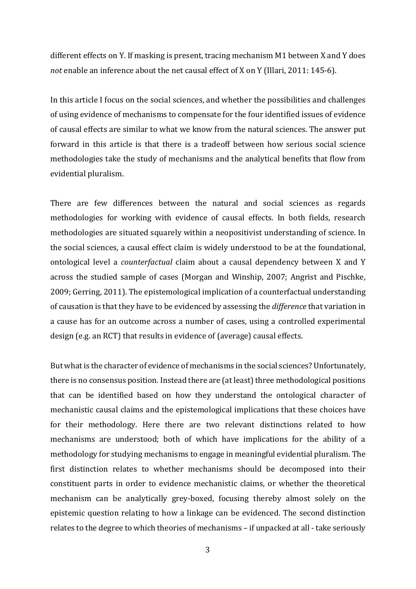different effects on Y. If masking is present, tracing mechanism M1 between X and Y does *not* enable an inference about the net causal effect of X on Y (Illari, 2011: 145-6).

In this article I focus on the social sciences, and whether the possibilities and challenges of using evidence of mechanisms to compensate for the four identified issues of evidence of causal effects are similar to what we know from the natural sciences. The answer put forward in this article is that there is a tradeoff between how serious social science methodologies take the study of mechanisms and the analytical benefits that flow from evidential pluralism.

There are few differences between the natural and social sciences as regards methodologies for working with evidence of causal effects. In both fields, research methodologies are situated squarely within a neopositivist understanding of science. In the social sciences, a causal effect claim is widely understood to be at the foundational, ontological level a *counterfactual* claim about a causal dependency between X and Y across the studied sample of cases (Morgan and Winship, 2007; Angrist and Pischke, 2009; Gerring, 2011). The epistemological implication of a counterfactual understanding of causation is that they have to be evidenced by assessing the *difference* that variation in a cause has for an outcome across a number of cases, using a controlled experimental design (e.g. an RCT) that results in evidence of (average) causal effects.

But what is the character of evidence of mechanisms in the social sciences? Unfortunately, there is no consensus position. Instead there are (at least) three methodological positions that can be identified based on how they understand the ontological character of mechanistic causal claims and the epistemological implications that these choices have for their methodology. Here there are two relevant distinctions related to how mechanisms are understood; both of which have implications for the ability of a methodology for studying mechanisms to engage in meaningful evidential pluralism. The first distinction relates to whether mechanisms should be decomposed into their constituent parts in order to evidence mechanistic claims, or whether the theoretical mechanism can be analytically grey-boxed, focusing thereby almost solely on the epistemic question relating to how a linkage can be evidenced. The second distinction relates to the degree to which theories of mechanisms – if unpacked at all - take seriously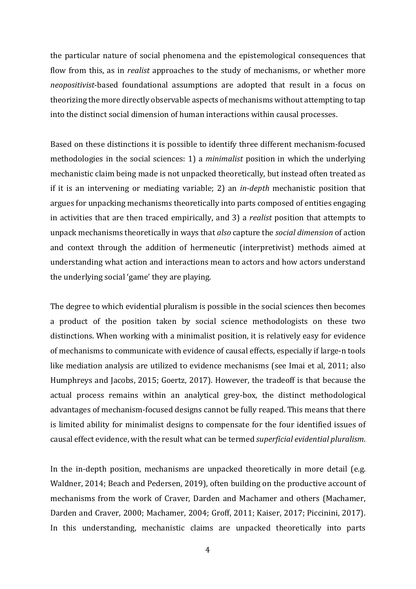the particular nature of social phenomena and the epistemological consequences that flow from this, as in *realist* approaches to the study of mechanisms, or whether more *neopositivist*-based foundational assumptions are adopted that result in a focus on theorizing the more directly observable aspects of mechanisms without attempting to tap into the distinct social dimension of human interactions within causal processes.

Based on these distinctions it is possible to identify three different mechanism-focused methodologies in the social sciences: 1) a *minimalist* position in which the underlying mechanistic claim being made is not unpacked theoretically, but instead often treated as if it is an intervening or mediating variable; 2) an *in-depth* mechanistic position that argues for unpacking mechanisms theoretically into parts composed of entities engaging in activities that are then traced empirically, and 3) a *realist* position that attempts to unpack mechanisms theoretically in ways that *also* capture the *social dimension* of action and context through the addition of hermeneutic (interpretivist) methods aimed at understanding what action and interactions mean to actors and how actors understand the underlying social 'game' they are playing.

The degree to which evidential pluralism is possible in the social sciences then becomes a product of the position taken by social science methodologists on these two distinctions. When working with a minimalist position, it is relatively easy for evidence of mechanisms to communicate with evidence of causal effects, especially if large-n tools like mediation analysis are utilized to evidence mechanisms (see Imai et al, 2011; also Humphreys and Jacobs, 2015; Goertz, 2017). However, the tradeoff is that because the actual process remains within an analytical grey-box, the distinct methodological advantages of mechanism-focused designs cannot be fully reaped. This means that there is limited ability for minimalist designs to compensate for the four identified issues of causal effect evidence, with the result what can be termed *superficial evidential pluralism*.

In the in-depth position, mechanisms are unpacked theoretically in more detail (e.g. Waldner, 2014; Beach and Pedersen, 2019), often building on the productive account of mechanisms from the work of Craver, Darden and Machamer and others (Machamer, Darden and Craver, 2000; Machamer, 2004; Groff, 2011; Kaiser, 2017; Piccinini, 2017). In this understanding, mechanistic claims are unpacked theoretically into parts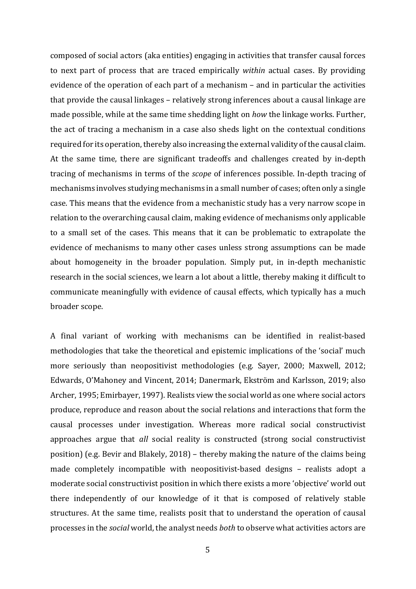composed of social actors (aka entities) engaging in activities that transfer causal forces to next part of process that are traced empirically *within* actual cases. By providing evidence of the operation of each part of a mechanism – and in particular the activities that provide the causal linkages – relatively strong inferences about a causal linkage are made possible, while at the same time shedding light on *how* the linkage works. Further, the act of tracing a mechanism in a case also sheds light on the contextual conditions required for its operation, thereby also increasing the external validity of the causal claim. At the same time, there are significant tradeoffs and challenges created by in-depth tracing of mechanisms in terms of the *scope* of inferences possible. In-depth tracing of mechanisms involves studying mechanisms in a small number of cases; often only a single case. This means that the evidence from a mechanistic study has a very narrow scope in relation to the overarching causal claim, making evidence of mechanisms only applicable to a small set of the cases. This means that it can be problematic to extrapolate the evidence of mechanisms to many other cases unless strong assumptions can be made about homogeneity in the broader population. Simply put, in in-depth mechanistic research in the social sciences, we learn a lot about a little, thereby making it difficult to communicate meaningfully with evidence of causal effects, which typically has a much broader scope.

A final variant of working with mechanisms can be identified in realist-based methodologies that take the theoretical and epistemic implications of the 'social' much more seriously than neopositivist methodologies (e.g. Sayer, 2000; Maxwell, 2012; Edwards, O'Mahoney and Vincent, 2014; Danermark, Ekström and Karlsson, 2019; also Archer, 1995; Emirbayer, 1997). Realists view the social world as one where social actors produce, reproduce and reason about the social relations and interactions that form the causal processes under investigation. Whereas more radical social constructivist approaches argue that *all* social reality is constructed (strong social constructivist position) (e.g. Bevir and Blakely, 2018) – thereby making the nature of the claims being made completely incompatible with neopositivist-based designs – realists adopt a moderate social constructivist position in which there exists a more 'objective' world out there independently of our knowledge of it that is composed of relatively stable structures. At the same time, realists posit that to understand the operation of causal processes in the *social* world, the analyst needs *both* to observe what activities actors are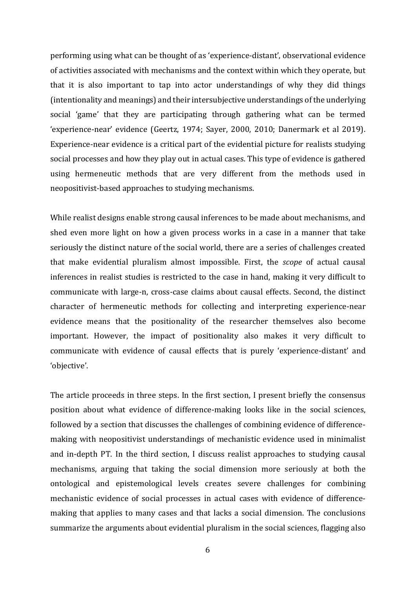performing using what can be thought of as 'experience-distant', observational evidence of activities associated with mechanisms and the context within which they operate, but that it is also important to tap into actor understandings of why they did things (intentionality and meanings) and their intersubjective understandings of the underlying social 'game' that they are participating through gathering what can be termed 'experience-near' evidence (Geertz, 1974; Sayer, 2000, 2010; Danermark et al 2019). Experience-near evidence is a critical part of the evidential picture for realists studying social processes and how they play out in actual cases. This type of evidence is gathered using hermeneutic methods that are very different from the methods used in neopositivist-based approaches to studying mechanisms.

While realist designs enable strong causal inferences to be made about mechanisms, and shed even more light on how a given process works in a case in a manner that take seriously the distinct nature of the social world, there are a series of challenges created that make evidential pluralism almost impossible. First, the *scope* of actual causal inferences in realist studies is restricted to the case in hand, making it very difficult to communicate with large-n, cross-case claims about causal effects. Second, the distinct character of hermeneutic methods for collecting and interpreting experience-near evidence means that the positionality of the researcher themselves also become important. However, the impact of positionality also makes it very difficult to communicate with evidence of causal effects that is purely 'experience-distant' and 'objective'.

The article proceeds in three steps. In the first section, I present briefly the consensus position about what evidence of difference-making looks like in the social sciences, followed by a section that discusses the challenges of combining evidence of differencemaking with neopositivist understandings of mechanistic evidence used in minimalist and in-depth PT. In the third section, I discuss realist approaches to studying causal mechanisms, arguing that taking the social dimension more seriously at both the ontological and epistemological levels creates severe challenges for combining mechanistic evidence of social processes in actual cases with evidence of differencemaking that applies to many cases and that lacks a social dimension. The conclusions summarize the arguments about evidential pluralism in the social sciences, flagging also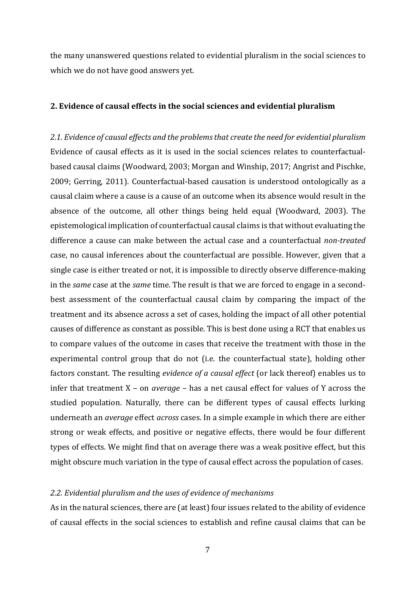the many unanswered questions related to evidential pluralism in the social sciences to which we do not have good answers yet.

## **2. Evidence of causal effects in the social sciences and evidential pluralism**

*2.1. Evidence of causal effects and the problems that create the need for evidential pluralism*  Evidence of causal effects as it is used in the social sciences relates to counterfactualbased causal claims (Woodward, 2003; Morgan and Winship, 2017; Angrist and Pischke, 2009; Gerring, 2011). Counterfactual-based causation is understood ontologically as a causal claim where a cause is a cause of an outcome when its absence would result in the absence of the outcome, all other things being held equal (Woodward, 2003). The epistemological implication of counterfactual causal claims is that without evaluating the difference a cause can make between the actual case and a counterfactual *non-treated*  case, no causal inferences about the counterfactual are possible. However, given that a single case is either treated or not, it is impossible to directly observe difference-making in the *same* case at the *same* time. The result is that we are forced to engage in a secondbest assessment of the counterfactual causal claim by comparing the impact of the treatment and its absence across a set of cases, holding the impact of all other potential causes of difference as constant as possible. This is best done using a RCT that enables us to compare values of the outcome in cases that receive the treatment with those in the experimental control group that do not (i.e. the counterfactual state), holding other factors constant. The resulting *evidence of a causal effect* (or lack thereof) enables us to infer that treatment X – on *average* – has a net causal effect for values of Y across the studied population. Naturally, there can be different types of causal effects lurking underneath an *average* effect *across* cases. In a simple example in which there are either strong or weak effects, and positive or negative effects, there would be four different types of effects. We might find that on average there was a weak positive effect, but this might obscure much variation in the type of causal effect across the population of cases.

### *2.2. Evidential pluralism and the uses of evidence of mechanisms*

As in the natural sciences, there are (at least) four issues related to the ability of evidence of causal effects in the social sciences to establish and refine causal claims that can be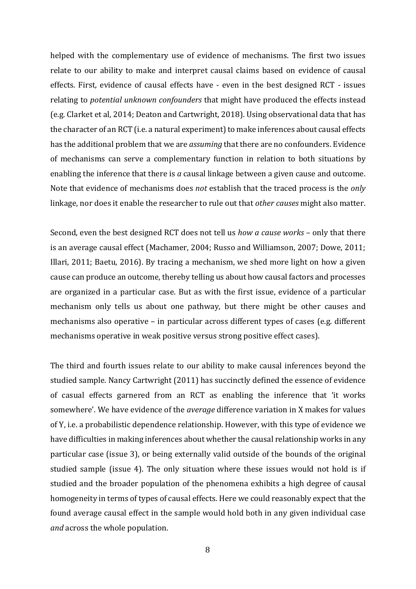helped with the complementary use of evidence of mechanisms. The first two issues relate to our ability to make and interpret causal claims based on evidence of causal effects. First, evidence of causal effects have - even in the best designed RCT - issues relating to *potential unknown confounders* that might have produced the effects instead (e.g. Clarket et al, 2014; Deaton and Cartwright, 2018). Using observational data that has the character of an RCT (i.e. a natural experiment) to make inferences about causal effects has the additional problem that we are *assuming* that there are no confounders. Evidence of mechanisms can serve a complementary function in relation to both situations by enabling the inference that there is *a* causal linkage between a given cause and outcome. Note that evidence of mechanisms does *not* establish that the traced process is the *only* linkage, nor does it enable the researcher to rule out that *other causes* might also matter.

Second, even the best designed RCT does not tell us *how a cause works* – only that there is an average causal effect (Machamer, 2004; Russo and Williamson, 2007; Dowe, 2011; Illari, 2011; Baetu, 2016). By tracing a mechanism, we shed more light on how a given cause can produce an outcome, thereby telling us about how causal factors and processes are organized in a particular case. But as with the first issue, evidence of a particular mechanism only tells us about one pathway, but there might be other causes and mechanisms also operative – in particular across different types of cases (e.g. different mechanisms operative in weak positive versus strong positive effect cases).

The third and fourth issues relate to our ability to make causal inferences beyond the studied sample. Nancy Cartwright (2011) has succinctly defined the essence of evidence of casual effects garnered from an RCT as enabling the inference that 'it works somewhere'. We have evidence of the *average* difference variation in X makes for values of Y, i.e. a probabilistic dependence relationship. However, with this type of evidence we have difficulties in making inferences about whether the causal relationship works in any particular case (issue 3), or being externally valid outside of the bounds of the original studied sample (issue 4). The only situation where these issues would not hold is if studied and the broader population of the phenomena exhibits a high degree of causal homogeneity in terms of types of causal effects. Here we could reasonably expect that the found average causal effect in the sample would hold both in any given individual case *and* across the whole population.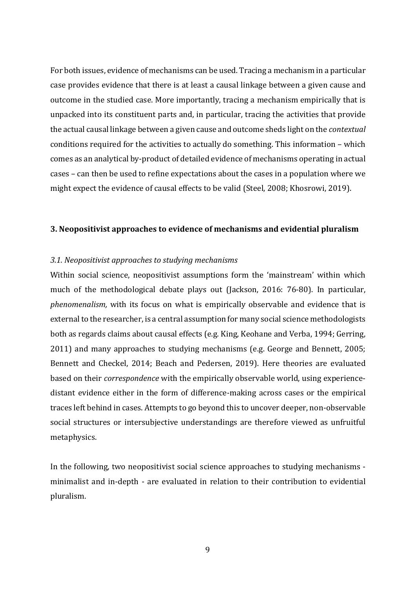For both issues, evidence of mechanisms can be used. Tracing a mechanism in a particular case provides evidence that there is at least a causal linkage between a given cause and outcome in the studied case. More importantly, tracing a mechanism empirically that is unpacked into its constituent parts and, in particular, tracing the activities that provide the actual causal linkage between a given cause and outcome sheds light on the *contextual* conditions required for the activities to actually do something. This information – which comes as an analytical by-product of detailed evidence of mechanisms operating in actual cases – can then be used to refine expectations about the cases in a population where we might expect the evidence of causal effects to be valid (Steel, 2008; Khosrowi, 2019).

# **3. Neopositivist approaches to evidence of mechanisms and evidential pluralism**

# *3.1. Neopositivist approaches to studying mechanisms*

Within social science, neopositivist assumptions form the 'mainstream' within which much of the methodological debate plays out (Jackson, 2016: 76-80). In particular, *phenomenalism,* with its focus on what is empirically observable and evidence that is external to the researcher, is a central assumption for many social science methodologists both as regards claims about causal effects (e.g. King, Keohane and Verba, 1994; Gerring, 2011) and many approaches to studying mechanisms (e.g. George and Bennett, 2005; Bennett and Checkel, 2014; Beach and Pedersen, 2019). Here theories are evaluated based on their *correspondence* with the empirically observable world, using experiencedistant evidence either in the form of difference-making across cases or the empirical traces left behind in cases. Attempts to go beyond this to uncover deeper, non-observable social structures or intersubjective understandings are therefore viewed as unfruitful metaphysics.

In the following, two neopositivist social science approaches to studying mechanisms minimalist and in-depth - are evaluated in relation to their contribution to evidential pluralism.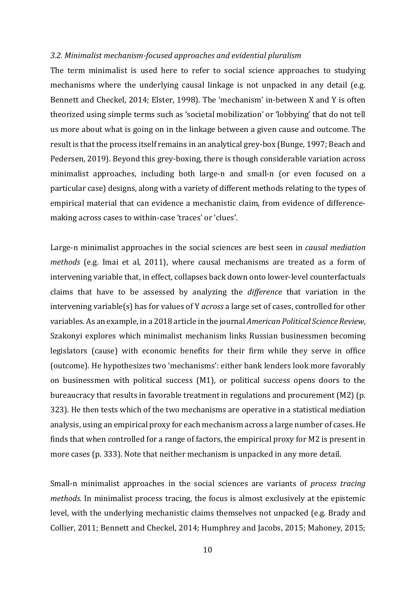#### *3.2. Minimalist mechanism-focused approaches and evidential pluralism*

The term minimalist is used here to refer to social science approaches to studying mechanisms where the underlying causal linkage is not unpacked in any detail (e.g. Bennett and Checkel, 2014; Elster, 1998). The 'mechanism' in-between X and Y is often theorized using simple terms such as 'societal mobilization' or 'lobbying' that do not tell us more about what is going on in the linkage between a given cause and outcome. The result is that the process itself remains in an analytical grey-box (Bunge, 1997; Beach and Pedersen, 2019). Beyond this grey-boxing, there is though considerable variation across minimalist approaches, including both large-n and small-n (or even focused on a particular case) designs, along with a variety of different methods relating to the types of empirical material that can evidence a mechanistic claim, from evidence of differencemaking across cases to within-case 'traces' or 'clues'.

Large-n minimalist approaches in the social sciences are best seen in *causal mediation methods* (e.g. Imai et al, 2011), where causal mechanisms are treated as a form of intervening variable that, in effect, collapses back down onto lower-level counterfactuals claims that have to be assessed by analyzing the *difference* that variation in the intervening variable(s) has for values of Y *across* a large set of cases, controlled for other variables. As an example, in a 2018 article in the journal *American Political Science Review*, Szakonyi explores which minimalist mechanism links Russian businessmen becoming legislators (cause) with economic benefits for their firm while they serve in office (outcome). He hypothesizes two 'mechanisms': either bank lenders look more favorably on businessmen with political success (M1), or political success opens doors to the bureaucracy that results in favorable treatment in regulations and procurement (M2) (p. 323). He then tests which of the two mechanisms are operative in a statistical mediation analysis, using an empirical proxy for each mechanism across a large number of cases. He finds that when controlled for a range of factors, the empirical proxy for M2 is present in more cases (p. 333). Note that neither mechanism is unpacked in any more detail.

Small-n minimalist approaches in the social sciences are variants of *process tracing methods.* In minimalist process tracing, the focus is almost exclusively at the epistemic level, with the underlying mechanistic claims themselves not unpacked (e.g. Brady and Collier, 2011; Bennett and Checkel, 2014; Humphrey and Jacobs, 2015; Mahoney, 2015;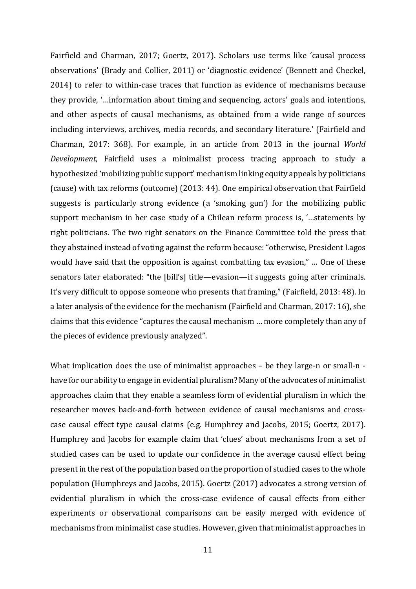Fairfield and Charman, 2017; Goertz, 2017). Scholars use terms like 'causal process observations' (Brady and Collier, 2011) or 'diagnostic evidence' (Bennett and Checkel, 2014) to refer to within-case traces that function as evidence of mechanisms because they provide, '…information about timing and sequencing, actors' goals and intentions, and other aspects of causal mechanisms, as obtained from a wide range of sources including interviews, archives, media records, and secondary literature.' (Fairfield and Charman, 2017: 368). For example, in an article from 2013 in the journal *World Development*, Fairfield uses a minimalist process tracing approach to study a hypothesized 'mobilizing public support' mechanism linking equity appeals by politicians (cause) with tax reforms (outcome) (2013: 44). One empirical observation that Fairfield suggests is particularly strong evidence (a 'smoking gun') for the mobilizing public support mechanism in her case study of a Chilean reform process is, '…statements by right politicians. The two right senators on the Finance Committee told the press that they abstained instead of voting against the reform because: "otherwise, President Lagos would have said that the opposition is against combatting tax evasion," … One of these senators later elaborated: "the [bill's] title—evasion—it suggests going after criminals. It's very difficult to oppose someone who presents that framing," (Fairfield, 2013: 48). In a later analysis of the evidence for the mechanism (Fairfield and Charman, 2017: 16), she claims that this evidence "captures the causal mechanism … more completely than any of the pieces of evidence previously analyzed".

What implication does the use of minimalist approaches – be they large-n or small-n have for our ability to engage in evidential pluralism? Many of the advocates of minimalist approaches claim that they enable a seamless form of evidential pluralism in which the researcher moves back-and-forth between evidence of causal mechanisms and crosscase causal effect type causal claims (e.g. Humphrey and Jacobs, 2015; Goertz, 2017). Humphrey and Jacobs for example claim that 'clues' about mechanisms from a set of studied cases can be used to update our confidence in the average causal effect being present in the rest of the population based on the proportion of studied cases to the whole population (Humphreys and Jacobs, 2015). Goertz (2017) advocates a strong version of evidential pluralism in which the cross-case evidence of causal effects from either experiments or observational comparisons can be easily merged with evidence of mechanisms from minimalist case studies. However, given that minimalist approaches in

11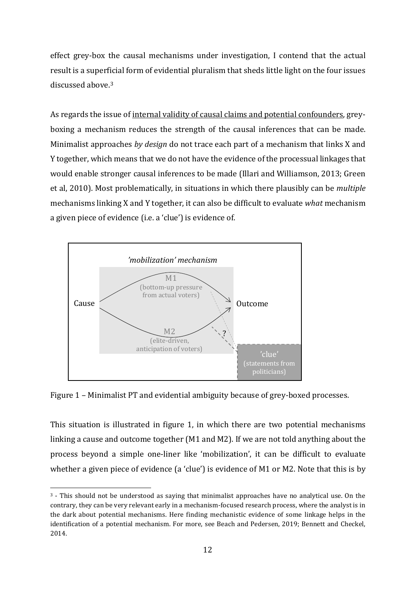effect grey-box the causal mechanisms under investigation, I contend that the actual result is a superficial form of evidential pluralism that sheds little light on the four issues discussed above.[3](#page-11-0)

As regards the issue of internal validity of causal claims and potential confounders, greyboxing a mechanism reduces the strength of the causal inferences that can be made. Minimalist approaches *by design* do not trace each part of a mechanism that links X and Y together, which means that we do not have the evidence of the processual linkages that would enable stronger causal inferences to be made (Illari and Williamson, 2013; Green et al, 2010). Most problematically, in situations in which there plausibly can be *multiple* mechanisms linking X and Y together, it can also be difficult to evaluate *what* mechanism a given piece of evidence (i.e. a 'clue') is evidence of.



Figure 1 – Minimalist PT and evidential ambiguity because of grey-boxed processes.

This situation is illustrated in figure 1, in which there are two potential mechanisms linking a cause and outcome together (M1 and M2). If we are not told anything about the process beyond a simple one-liner like 'mobilization', it can be difficult to evaluate whether a given piece of evidence (a 'clue') is evidence of M1 or M2. Note that this is by

<span id="page-11-0"></span> <sup>3</sup> - This should not be understood as saying that minimalist approaches have no analytical use. On the contrary, they can be very relevant early in a mechanism-focused research process, where the analyst is in the dark about potential mechanisms. Here finding mechanistic evidence of some linkage helps in the identification of a potential mechanism. For more, see Beach and Pedersen, 2019; Bennett and Checkel, 2014.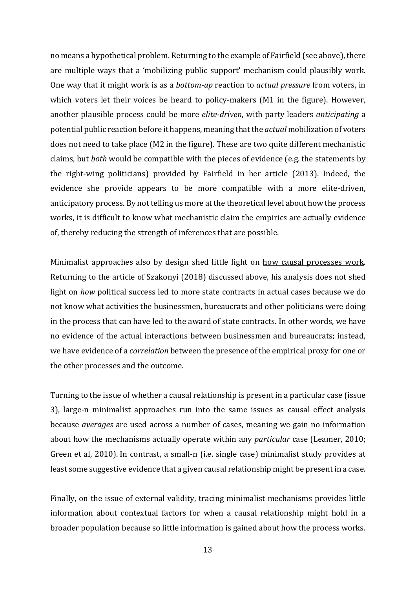no means a hypothetical problem. Returning to the example of Fairfield (see above), there are multiple ways that a 'mobilizing public support' mechanism could plausibly work. One way that it might work is as a *bottom-up* reaction to *actual pressure* from voters, in which voters let their voices be heard to policy-makers (M1 in the figure). However, another plausible process could be more *elite-driven*, with party leaders *anticipating* a potential public reaction before it happens, meaning that the *actual* mobilization of voters does not need to take place (M2 in the figure). These are two quite different mechanistic claims, but *both* would be compatible with the pieces of evidence (e.g. the statements by the right-wing politicians) provided by Fairfield in her article (2013). Indeed, the evidence she provide appears to be more compatible with a more elite-driven, anticipatory process. By not telling us more at the theoretical level about how the process works, it is difficult to know what mechanistic claim the empirics are actually evidence of, thereby reducing the strength of inferences that are possible.

Minimalist approaches also by design shed little light on how causal processes work. Returning to the article of Szakonyi (2018) discussed above, his analysis does not shed light on *how* political success led to more state contracts in actual cases because we do not know what activities the businessmen, bureaucrats and other politicians were doing in the process that can have led to the award of state contracts. In other words, we have no evidence of the actual interactions between businessmen and bureaucrats; instead, we have evidence of a *correlation* between the presence of the empirical proxy for one or the other processes and the outcome.

Turning to the issue of whether a causal relationship is present in a particular case (issue 3), large-n minimalist approaches run into the same issues as causal effect analysis because *averages* are used across a number of cases, meaning we gain no information about how the mechanisms actually operate within any *particular* case (Leamer, 2010; Green et al, 2010). In contrast, a small-n (i.e. single case) minimalist study provides at least some suggestive evidence that a given causal relationship might be present in a case.

Finally, on the issue of external validity, tracing minimalist mechanisms provides little information about contextual factors for when a causal relationship might hold in a broader population because so little information is gained about how the process works.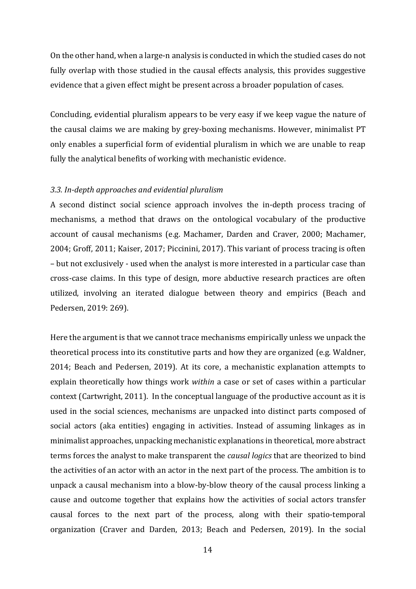On the other hand, when a large-n analysis is conducted in which the studied cases do not fully overlap with those studied in the causal effects analysis, this provides suggestive evidence that a given effect might be present across a broader population of cases.

Concluding, evidential pluralism appears to be very easy if we keep vague the nature of the causal claims we are making by grey-boxing mechanisms. However, minimalist PT only enables a superficial form of evidential pluralism in which we are unable to reap fully the analytical benefits of working with mechanistic evidence.

#### *3.3. In-depth approaches and evidential pluralism*

A second distinct social science approach involves the in-depth process tracing of mechanisms, a method that draws on the ontological vocabulary of the productive account of causal mechanisms (e.g. Machamer, Darden and Craver, 2000; Machamer, 2004; Groff, 2011; Kaiser, 2017; Piccinini, 2017). This variant of process tracing is often – but not exclusively - used when the analyst is more interested in a particular case than cross-case claims. In this type of design, more abductive research practices are often utilized, involving an iterated dialogue between theory and empirics (Beach and Pedersen, 2019: 269).

Here the argument is that we cannot trace mechanisms empirically unless we unpack the theoretical process into its constitutive parts and how they are organized (e.g. Waldner, 2014; Beach and Pedersen, 2019). At its core, a mechanistic explanation attempts to explain theoretically how things work *within* a case or set of cases within a particular context (Cartwright, 2011). In the conceptual language of the productive account as it is used in the social sciences, mechanisms are unpacked into distinct parts composed of social actors (aka entities) engaging in activities. Instead of assuming linkages as in minimalist approaches, unpacking mechanistic explanations in theoretical, more abstract terms forces the analyst to make transparent the *causal logics* that are theorized to bind the activities of an actor with an actor in the next part of the process. The ambition is to unpack a causal mechanism into a blow-by-blow theory of the causal process linking a cause and outcome together that explains how the activities of social actors transfer causal forces to the next part of the process, along with their spatio-temporal organization (Craver and Darden, 2013; Beach and Pedersen, 2019). In the social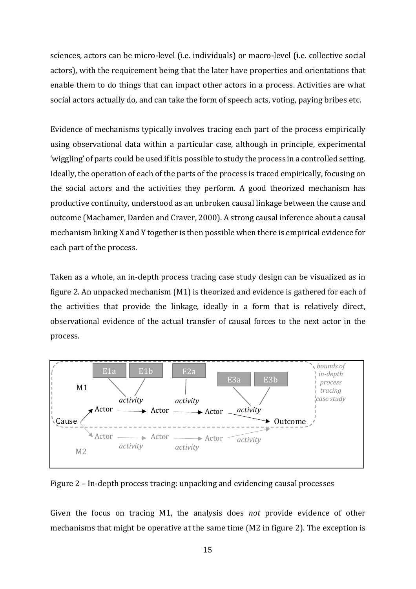sciences, actors can be micro-level (i.e. individuals) or macro-level (i.e. collective social actors), with the requirement being that the later have properties and orientations that enable them to do things that can impact other actors in a process. Activities are what social actors actually do, and can take the form of speech acts, voting, paying bribes etc.

Evidence of mechanisms typically involves tracing each part of the process empirically using observational data within a particular case, although in principle, experimental 'wiggling' of parts could be used if it is possible to study the process in a controlled setting. Ideally, the operation of each of the parts of the process is traced empirically, focusing on the social actors and the activities they perform. A good theorized mechanism has productive continuity, understood as an unbroken causal linkage between the cause and outcome (Machamer, Darden and Craver, 2000). A strong causal inference about a causal mechanism linking X and Y together is then possible when there is empirical evidence for each part of the process.

Taken as a whole, an in-depth process tracing case study design can be visualized as in figure 2. An unpacked mechanism (M1) is theorized and evidence is gathered for each of the activities that provide the linkage, ideally in a form that is relatively direct, observational evidence of the actual transfer of causal forces to the next actor in the process.



Figure 2 – In-depth process tracing: unpacking and evidencing causal processes

Given the focus on tracing M1, the analysis does *not* provide evidence of other mechanisms that might be operative at the same time (M2 in figure 2). The exception is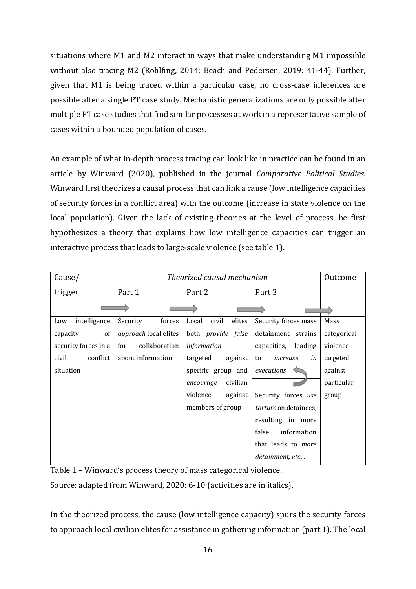situations where M1 and M2 interact in ways that make understanding M1 impossible without also tracing M2 (Rohlfing, 2014; Beach and Pedersen, 2019: 41-44). Further, given that M1 is being traced within a particular case, no cross-case inferences are possible after a single PT case study. Mechanistic generalizations are only possible after multiple PT case studies that find similar processes at work in a representative sample of cases within a bounded population of cases.

An example of what in-depth process tracing can look like in practice can be found in an article by Winward (2020), published in the journal *Comparative Political Studies*. Winward first theorizes a causal process that can link a cause (low intelligence capacities of security forces in a conflict area) with the outcome (increase in state violence on the local population). Given the lack of existing theories at the level of process, he first hypothesizes a theory that explains how low intelligence capacities can trigger an interactive process that leads to large-scale violence (see table 1).

| Cause/               | Theorized causal mechanism |                           |                       | Outcome     |
|----------------------|----------------------------|---------------------------|-----------------------|-------------|
| trigger              | Part 1                     | Part 2                    | Part 3                |             |
|                      |                            |                           |                       |             |
| intelligence<br>Low  | Security<br>forces         | Local<br>civil<br>elites  | Security forces mass  | Mass        |
| of<br>capacity       | approach local elites      | both <i>provide</i> false | detainment strains    | categorical |
| security forces in a | collaboration<br>for       | information               | capacities, leading   | violence    |
| conflict<br>civil    | about information          | targeted<br>against       | increase<br>in<br>to  | targeted    |
| situation            |                            | specific group and        | executions            | against     |
|                      |                            | civilian<br>encourage     |                       | particular  |
|                      |                            | violence<br>against       | Security forces use   | group       |
|                      |                            | members of group          | torture on detainees, |             |
|                      |                            |                           | resulting in more     |             |
|                      |                            |                           | information<br>false  |             |
|                      |                            |                           | that leads to more    |             |
|                      |                            |                           | detainment, etc       |             |

Table 1 – Winward's process theory of mass categorical violence.

Source: adapted from Winward, 2020: 6-10 (activities are in italics).

In the theorized process, the cause (low intelligence capacity) spurs the security forces to approach local civilian elites for assistance in gathering information (part 1). The local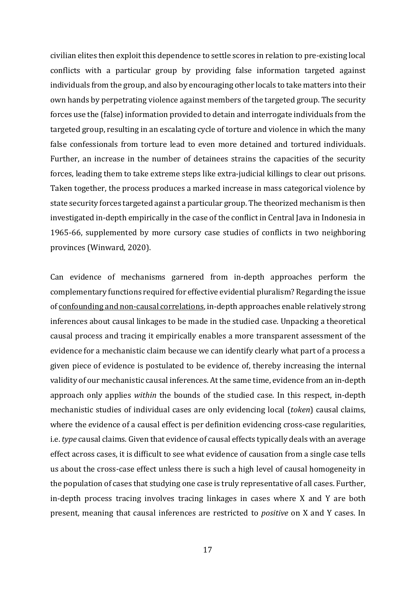civilian elites then exploit this dependence to settle scores in relation to pre-existing local conflicts with a particular group by providing false information targeted against individuals from the group, and also by encouraging other locals to take matters into their own hands by perpetrating violence against members of the targeted group. The security forces use the (false) information provided to detain and interrogate individuals from the targeted group, resulting in an escalating cycle of torture and violence in which the many false confessionals from torture lead to even more detained and tortured individuals. Further, an increase in the number of detainees strains the capacities of the security forces, leading them to take extreme steps like extra-judicial killings to clear out prisons. Taken together, the process produces a marked increase in mass categorical violence by state security forces targeted against a particular group. The theorized mechanism is then investigated in-depth empirically in the case of the conflict in Central Java in Indonesia in 1965-66, supplemented by more cursory case studies of conflicts in two neighboring provinces (Winward, 2020).

Can evidence of mechanisms garnered from in-depth approaches perform the complementary functions required for effective evidential pluralism? Regarding the issue of confounding and non-causal correlations, in-depth approaches enable relatively strong inferences about causal linkages to be made in the studied case. Unpacking a theoretical causal process and tracing it empirically enables a more transparent assessment of the evidence for a mechanistic claim because we can identify clearly what part of a process a given piece of evidence is postulated to be evidence of, thereby increasing the internal validity of our mechanistic causal inferences. At the same time, evidence from an in-depth approach only applies *within* the bounds of the studied case. In this respect, in-depth mechanistic studies of individual cases are only evidencing local (*token*) causal claims, where the evidence of a causal effect is per definition evidencing cross-case regularities, i.e. *type* causal claims. Given that evidence of causal effects typically deals with an average effect across cases, it is difficult to see what evidence of causation from a single case tells us about the cross-case effect unless there is such a high level of causal homogeneity in the population of cases that studying one case is truly representative of all cases. Further, in-depth process tracing involves tracing linkages in cases where X and Y are both present, meaning that causal inferences are restricted to *positive* on X and Y cases. In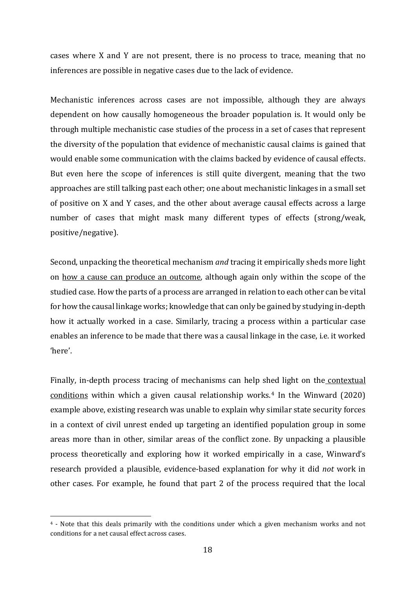cases where X and Y are not present, there is no process to trace, meaning that no inferences are possible in negative cases due to the lack of evidence.

Mechanistic inferences across cases are not impossible, although they are always dependent on how causally homogeneous the broader population is. It would only be through multiple mechanistic case studies of the process in a set of cases that represent the diversity of the population that evidence of mechanistic causal claims is gained that would enable some communication with the claims backed by evidence of causal effects. But even here the scope of inferences is still quite divergent, meaning that the two approaches are still talking past each other; one about mechanistic linkages in a small set of positive on X and Y cases, and the other about average causal effects across a large number of cases that might mask many different types of effects (strong/weak, positive/negative).

Second, unpacking the theoretical mechanism *and* tracing it empirically sheds more light on how a cause can produce an outcome, although again only within the scope of the studied case. How the parts of a process are arranged in relation to each other can be vital for how the causal linkage works; knowledge that can only be gained by studying in-depth how it actually worked in a case. Similarly, tracing a process within a particular case enables an inference to be made that there was a causal linkage in the case, i.e. it worked 'here'.

Finally, in-depth process tracing of mechanisms can help shed light on the contextual conditions within which a given causal relationship works.[4](#page-17-0) In the Winward (2020) example above, existing research was unable to explain why similar state security forces in a context of civil unrest ended up targeting an identified population group in some areas more than in other, similar areas of the conflict zone. By unpacking a plausible process theoretically and exploring how it worked empirically in a case, Winward's research provided a plausible, evidence-based explanation for why it did *not* work in other cases. For example, he found that part 2 of the process required that the local

<span id="page-17-0"></span> <sup>4</sup> - Note that this deals primarily with the conditions under which a given mechanism works and not conditions for a net causal effect across cases.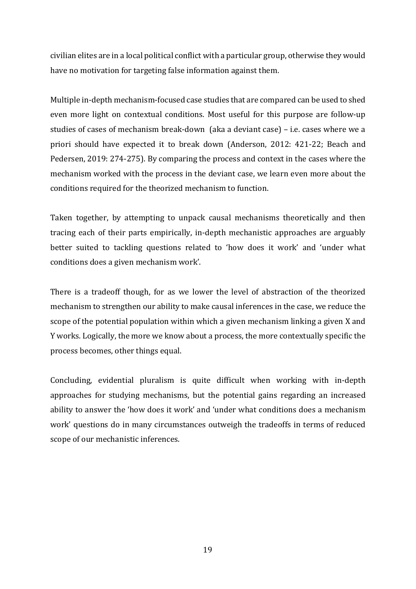civilian elites are in a local political conflict with a particular group, otherwise they would have no motivation for targeting false information against them.

Multiple in-depth mechanism-focused case studies that are compared can be used to shed even more light on contextual conditions. Most useful for this purpose are follow-up studies of cases of mechanism break-down (aka a deviant case) – i.e. cases where we a priori should have expected it to break down (Anderson, 2012: 421-22; Beach and Pedersen, 2019: 274-275). By comparing the process and context in the cases where the mechanism worked with the process in the deviant case, we learn even more about the conditions required for the theorized mechanism to function.

Taken together, by attempting to unpack causal mechanisms theoretically and then tracing each of their parts empirically, in-depth mechanistic approaches are arguably better suited to tackling questions related to 'how does it work' and 'under what conditions does a given mechanism work'.

There is a tradeoff though, for as we lower the level of abstraction of the theorized mechanism to strengthen our ability to make causal inferences in the case, we reduce the scope of the potential population within which a given mechanism linking a given X and Y works. Logically, the more we know about a process, the more contextually specific the process becomes, other things equal.

Concluding, evidential pluralism is quite difficult when working with in-depth approaches for studying mechanisms, but the potential gains regarding an increased ability to answer the 'how does it work' and 'under what conditions does a mechanism work' questions do in many circumstances outweigh the tradeoffs in terms of reduced scope of our mechanistic inferences.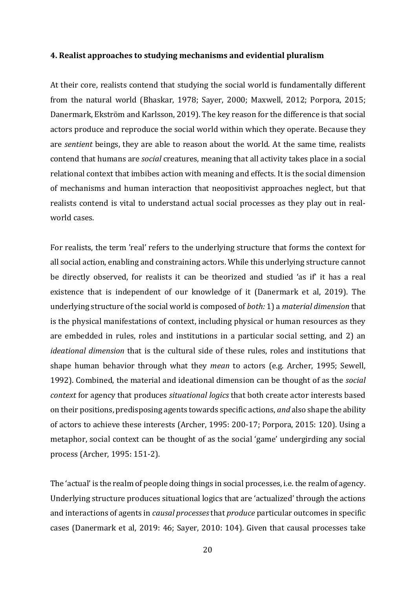### **4. Realist approaches to studying mechanisms and evidential pluralism**

At their core, realists contend that studying the social world is fundamentally different from the natural world (Bhaskar, 1978; Sayer, 2000; Maxwell, 2012; Porpora, 2015; Danermark, Ekström and Karlsson, 2019). The key reason for the difference is that social actors produce and reproduce the social world within which they operate. Because they are *sentient* beings, they are able to reason about the world. At the same time, realists contend that humans are *social* creatures, meaning that all activity takes place in a social relational context that imbibes action with meaning and effects. It is the social dimension of mechanisms and human interaction that neopositivist approaches neglect, but that realists contend is vital to understand actual social processes as they play out in realworld cases.

For realists, the term 'real' refers to the underlying structure that forms the context for all social action, enabling and constraining actors. While this underlying structure cannot be directly observed, for realists it can be theorized and studied 'as if' it has a real existence that is independent of our knowledge of it (Danermark et al, 2019). The underlying structure of the social world is composed of *both:* 1) a *material dimension* that is the physical manifestations of context, including physical or human resources as they are embedded in rules, roles and institutions in a particular social setting, and 2) an *ideational dimension* that is the cultural side of these rules, roles and institutions that shape human behavior through what they *mean* to actors (e.g. Archer, 1995; Sewell, 1992). Combined, the material and ideational dimension can be thought of as the *social context* for agency that produces *situational logics* that both create actor interests based on their positions, predisposing agents towards specific actions, *and* also shape the ability of actors to achieve these interests (Archer, 1995: 200-17; Porpora, 2015: 120). Using a metaphor, social context can be thought of as the social 'game' undergirding any social process (Archer, 1995: 151-2).

The 'actual' is the realm of people doing things in social processes, i.e. the realm of agency. Underlying structure produces situational logics that are 'actualized' through the actions and interactions of agents in *causal processes*that *produce* particular outcomes in specific cases (Danermark et al, 2019: 46; Sayer, 2010: 104). Given that causal processes take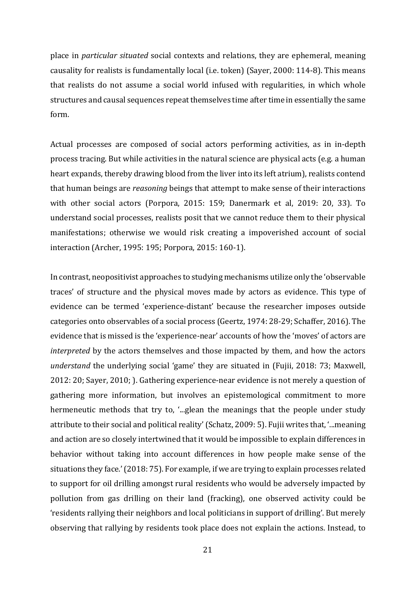place in *particular situated* social contexts and relations, they are ephemeral, meaning causality for realists is fundamentally local (i.e. token) (Sayer, 2000: 114-8). This means that realists do not assume a social world infused with regularities, in which whole structures and causal sequences repeat themselves time after time in essentially the same form.

Actual processes are composed of social actors performing activities, as in in-depth process tracing. But while activities in the natural science are physical acts (e.g. a human heart expands, thereby drawing blood from the liver into its left atrium), realists contend that human beings are *reasoning* beings that attempt to make sense of their interactions with other social actors (Porpora, 2015: 159; Danermark et al, 2019: 20, 33). To understand social processes, realists posit that we cannot reduce them to their physical manifestations; otherwise we would risk creating a impoverished account of social interaction (Archer, 1995: 195; Porpora, 2015: 160-1).

In contrast, neopositivist approaches to studying mechanisms utilize only the 'observable traces' of structure and the physical moves made by actors as evidence. This type of evidence can be termed 'experience-distant' because the researcher imposes outside categories onto observables of a social process (Geertz, 1974: 28-29; Schaffer, 2016). The evidence that is missed is the 'experience-near' accounts of how the 'moves' of actors are *interpreted* by the actors themselves and those impacted by them, and how the actors *understand* the underlying social 'game' they are situated in (Fujii, 2018: 73; Maxwell, 2012: 20; Sayer, 2010; ). Gathering experience-near evidence is not merely a question of gathering more information, but involves an epistemological commitment to more hermeneutic methods that try to, '...glean the meanings that the people under study attribute to their social and political reality' (Schatz, 2009: 5). Fujii writes that, '...meaning and action are so closely intertwined that it would be impossible to explain differences in behavior without taking into account differences in how people make sense of the situations they face.' (2018: 75). For example, if we are trying to explain processes related to support for oil drilling amongst rural residents who would be adversely impacted by pollution from gas drilling on their land (fracking), one observed activity could be 'residents rallying their neighbors and local politicians in support of drilling'. But merely observing that rallying by residents took place does not explain the actions. Instead, to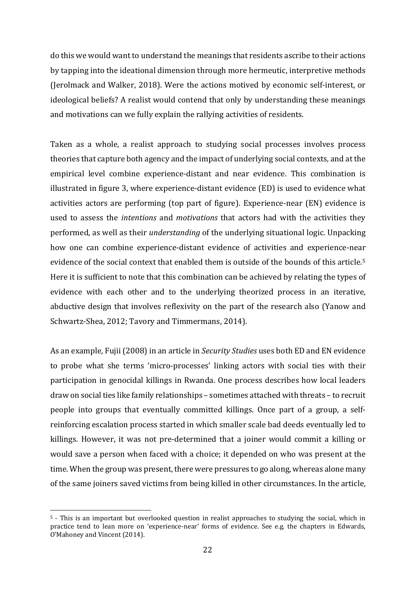do this we would want to understand the meanings that residents ascribe to their actions by tapping into the ideational dimension through more hermeutic, interpretive methods (Jerolmack and Walker, 2018). Were the actions motived by economic self-interest, or ideological beliefs? A realist would contend that only by understanding these meanings and motivations can we fully explain the rallying activities of residents.

Taken as a whole, a realist approach to studying social processes involves process theories that capture both agency and the impact of underlying social contexts, and at the empirical level combine experience-distant and near evidence. This combination is illustrated in figure 3, where experience-distant evidence (ED) is used to evidence what activities actors are performing (top part of figure). Experience-near (EN) evidence is used to assess the *intentions* and *motivations* that actors had with the activities they performed, as well as their *understanding* of the underlying situational logic. Unpacking how one can combine experience-distant evidence of activities and experience-near evidence of the social context that enabled them is outside of the bounds of this article.<sup>[5](#page-21-0)</sup> Here it is sufficient to note that this combination can be achieved by relating the types of evidence with each other and to the underlying theorized process in an iterative, abductive design that involves reflexivity on the part of the research also (Yanow and Schwartz-Shea, 2012; Tavory and Timmermans, 2014).

As an example, Fujii (2008) in an article in *Security Studies* uses both ED and EN evidence to probe what she terms 'micro-processes' linking actors with social ties with their participation in genocidal killings in Rwanda. One process describes how local leaders draw on social ties like family relationships – sometimes attached with threats – to recruit people into groups that eventually committed killings. Once part of a group, a selfreinforcing escalation process started in which smaller scale bad deeds eventually led to killings. However, it was not pre-determined that a joiner would commit a killing or would save a person when faced with a choice; it depended on who was present at the time. When the group was present, there were pressures to go along, whereas alone many of the same joiners saved victims from being killed in other circumstances. In the article,

<span id="page-21-0"></span> <sup>5</sup> - This is an important but overlooked question in realist approaches to studying the social, which in practice tend to lean more on 'experience-near' forms of evidence. See e.g. the chapters in Edwards, O'Mahoney and Vincent (2014).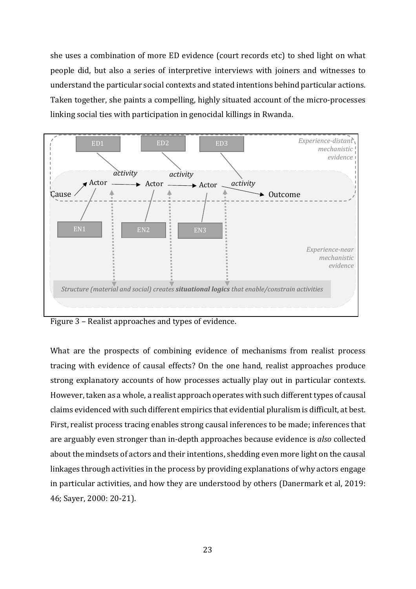she uses a combination of more ED evidence (court records etc) to shed light on what people did, but also a series of interpretive interviews with joiners and witnesses to understand the particular social contexts and stated intentions behind particular actions. Taken together, she paints a compelling, highly situated account of the micro-processes linking social ties with participation in genocidal killings in Rwanda.



Figure 3 – Realist approaches and types of evidence.

What are the prospects of combining evidence of mechanisms from realist process tracing with evidence of causal effects? On the one hand, realist approaches produce strong explanatory accounts of how processes actually play out in particular contexts. However, taken as a whole, a realist approach operates with such different types of causal claims evidenced with such different empirics that evidential pluralism is difficult, at best. First, realist process tracing enables strong causal inferences to be made; inferences that are arguably even stronger than in-depth approaches because evidence is *also* collected about the mindsets of actors and their intentions, shedding even more light on the causal linkages through activities in the process by providing explanations of why actors engage in particular activities, and how they are understood by others (Danermark et al, 2019: 46; Sayer, 2000: 20-21).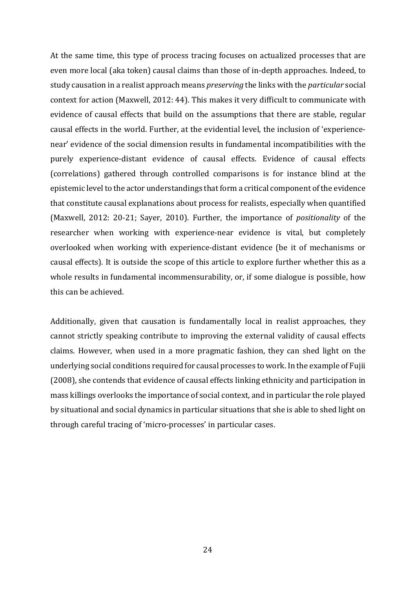At the same time, this type of process tracing focuses on actualized processes that are even more local (aka token) causal claims than those of in-depth approaches. Indeed, to study causation in a realist approach means *preserving* the links with the *particular* social context for action (Maxwell, 2012: 44). This makes it very difficult to communicate with evidence of causal effects that build on the assumptions that there are stable, regular causal effects in the world. Further, at the evidential level, the inclusion of 'experiencenear' evidence of the social dimension results in fundamental incompatibilities with the purely experience-distant evidence of causal effects. Evidence of causal effects (correlations) gathered through controlled comparisons is for instance blind at the epistemic level to the actor understandings that form a critical component of the evidence that constitute causal explanations about process for realists, especially when quantified (Maxwell, 2012: 20-21; Sayer, 2010). Further, the importance of *positionality* of the researcher when working with experience-near evidence is vital, but completely overlooked when working with experience-distant evidence (be it of mechanisms or causal effects). It is outside the scope of this article to explore further whether this as a whole results in fundamental incommensurability, or, if some dialogue is possible, how this can be achieved.

Additionally, given that causation is fundamentally local in realist approaches, they cannot strictly speaking contribute to improving the external validity of causal effects claims. However, when used in a more pragmatic fashion, they can shed light on the underlying social conditions required for causal processes to work. In the example of Fujii (2008), she contends that evidence of causal effects linking ethnicity and participation in mass killings overlooks the importance of social context, and in particular the role played by situational and social dynamics in particular situations that she is able to shed light on through careful tracing of 'micro-processes' in particular cases.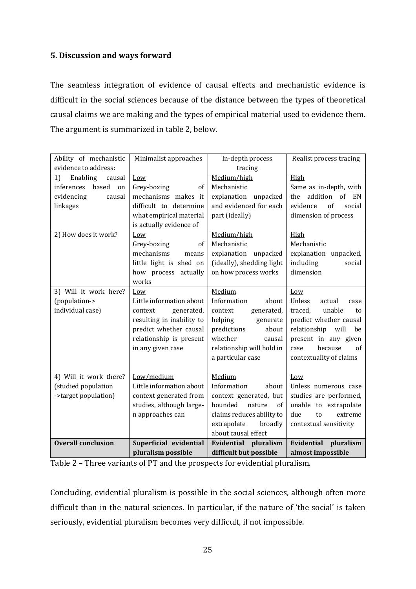# **5. Discussion and ways forward**

The seamless integration of evidence of causal effects and mechanistic evidence is difficult in the social sciences because of the distance between the types of theoretical causal claims we are making and the types of empirical material used to evidence them. The argument is summarized in table 2, below.

| Ability of mechanistic    | Minimalist approaches<br>In-depth process |                           | Realist process tracing     |  |
|---------------------------|-------------------------------------------|---------------------------|-----------------------------|--|
| evidence to address:      |                                           | tracing                   |                             |  |
| 1)<br>Enabling<br>causal  | Low                                       | Medium/high               | High                        |  |
| inferences<br>based<br>on | Grey-boxing<br>of                         | Mechanistic               | Same as in-depth, with      |  |
| evidencing<br>causal      | mechanisms makes it                       | explanation<br>unpacked   | addition<br>of<br>EN<br>the |  |
| linkages                  | difficult to determine                    | and evidenced for each    | of<br>evidence<br>social    |  |
|                           | what empirical material                   | part (ideally)            | dimension of process        |  |
|                           | is actually evidence of                   |                           |                             |  |
| 2) How does it work?      | Low                                       | Medium/high               | High                        |  |
|                           | Grey-boxing<br>of                         | Mechanistic               | Mechanistic                 |  |
|                           | mechanisms<br>means                       | explanation<br>unpacked   | explanation unpacked,       |  |
|                           | little light is shed on                   | (ideally), shedding light | including<br>social         |  |
|                           | how process actually                      | on how process works      | dimension                   |  |
|                           | works                                     |                           |                             |  |
| 3) Will it work here?     | Low                                       | Medium                    | Low                         |  |
| (population->             | Little information about                  | Information<br>about      | Unless<br>actual<br>case    |  |
| individual case)          | context<br>generated,                     | context<br>generated,     | unable<br>traced.<br>to     |  |
|                           | resulting in inability to                 | helping<br>generate       | predict whether causal      |  |
|                           | predict whether causal                    | predictions<br>about      | relationship<br>will<br>be  |  |
|                           | relationship is present                   | whether<br>causal         | present in any given        |  |
|                           | in any given case                         | relationship will hold in | because<br>of<br>case       |  |
|                           |                                           | a particular case         | contextuality of claims     |  |
|                           |                                           |                           |                             |  |
| 4) Will it work there?    | Low/medium                                | Medium                    | Low                         |  |
| (studied population       | Little information about                  | Information<br>about      | Unless numerous case        |  |
| ->target population)      | context generated from                    | context generated, but    | studies are performed,      |  |
|                           | studies, although large-                  | bounded<br>nature<br>of   | unable to extrapolate       |  |
|                           | n approaches can                          | claims reduces ability to | due<br>extreme<br>to        |  |
|                           |                                           | extrapolate<br>broadly    | contextual sensitivity      |  |
|                           |                                           | about causal effect       |                             |  |
| <b>Overall conclusion</b> | Superficial evidential                    | Evidential<br>pluralism   | Evidential<br>pluralism     |  |
|                           | pluralism possible                        | difficult but possible    | almost impossible           |  |

Table 2 – Three variants of PT and the prospects for evidential pluralism.

Concluding, evidential pluralism is possible in the social sciences, although often more difficult than in the natural sciences. In particular, if the nature of 'the social' is taken seriously, evidential pluralism becomes very difficult, if not impossible.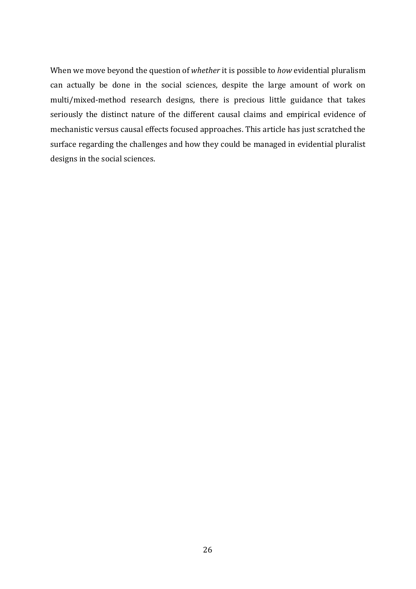When we move beyond the question of *whether* it is possible to *how* evidential pluralism can actually be done in the social sciences, despite the large amount of work on multi/mixed-method research designs, there is precious little guidance that takes seriously the distinct nature of the different causal claims and empirical evidence of mechanistic versus causal effects focused approaches. This article has just scratched the surface regarding the challenges and how they could be managed in evidential pluralist designs in the social sciences.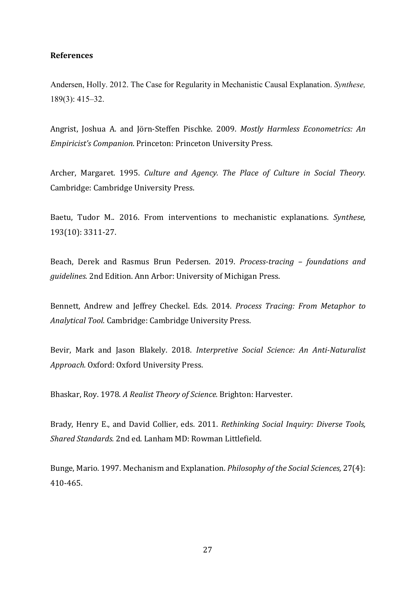# **References**

Andersen, Holly. 2012. The Case for Regularity in Mechanistic Causal Explanation. *Synthese,* 189(3): 415–32.

Angrist, Joshua A. and Jörn-Steffen Pischke. 2009. *Mostly Harmless Econometrics: An Empiricist's Companion*. Princeton: Princeton University Press.

Archer, Margaret. 1995. *Culture and Agency. The Place of Culture in Social Theory.*  Cambridge: Cambridge University Press.

Baetu, Tudor M.. 2016. From interventions to mechanistic explanations. *Synthese,*  193(10): 3311-27.

Beach, Derek and Rasmus Brun Pedersen. 2019. *Process-tracing – foundations and guidelines.* 2nd Edition. Ann Arbor: University of Michigan Press.

Bennett, Andrew and Jeffrey Checkel. Eds. 2014*. Process Tracing: From Metaphor to Analytical Tool*. Cambridge: Cambridge University Press.

Bevir, Mark and Jason Blakely. 2018. *Interpretive Social Science: An Anti-Naturalist Approach.* Oxford: Oxford University Press.

Bhaskar, Roy. 1978. *A Realist Theory of Science.* Brighton: Harvester.

Brady, Henry E., and David Collier, eds. 2011. *Rethinking Social Inquiry: Diverse Tools, Shared Standards.* 2nd ed. Lanham MD: Rowman Littlefield.

Bunge, Mario. 1997. Mechanism and Explanation. *Philosophy of the Social Sciences,* 27(4): 410-465.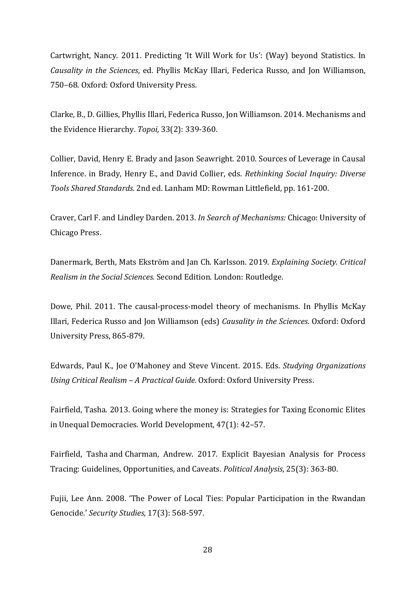Cartwright, Nancy. 2011. Predicting 'It Will Work for Us': (Way) beyond Statistics. In *Causality in the Sciences*, ed. Phyllis McKay Illari, Federica Russo, and Jon Williamson, 750–68. Oxford: Oxford University Press.

Clarke, B., D. Gillies, Phyllis Illari, Federica Russo, Jon Williamson. 2014. Mechanisms and the Evidence Hierarchy. *Topoi,* 33(2): 339-360.

Collier, David, Henry E. Brady and Jason Seawright. 2010. Sources of Leverage in Causal Inference. in Brady, Henry E., and David Collier, eds. *Rethinking Social Inquiry: Diverse Tools Shared Standards.* 2nd ed. Lanham MD: Rowman Littlefield, pp. 161-200.

Craver, Carl F. and Lindley Darden. 2013. *In Search of Mechanisms:* Chicago: University of Chicago Press.

Danermark, Berth, Mats Ekström and Jan Ch. Karlsson. 2019. *Explaining Society. Critical Realism in the Social Sciences.* Second Edition. London: Routledge.

Dowe, Phil. 2011. The causal-process-model theory of mechanisms. In Phyllis McKay Illari, Federica Russo and Jon Williamson (eds) *Causality in the Sciences*. Oxford: Oxford University Press, 865-879.

Edwards, Paul K., Joe O'Mahoney and Steve Vincent. 2015. Eds. *Studying Organizations Using Critical Realism – A Practical Guide.* Oxford: Oxford University Press.

Fairfield, Tasha. 2013. Going where the money is: Strategies for Taxing Economic Elites in Unequal Democracies. World Development, 47(1): 42–57.

Fairfield, Tasha and Charman, Andrew. 2017. Explicit Bayesian Analysis for Process Tracing: Guidelines, Opportunities, and Caveats. *Political Analysis*, 25(3): 363-80.

Fujii, Lee Ann. 2008. 'The Power of Local Ties: Popular Participation in the Rwandan Genocide.' *Security Studies,* 17(3): 568-597.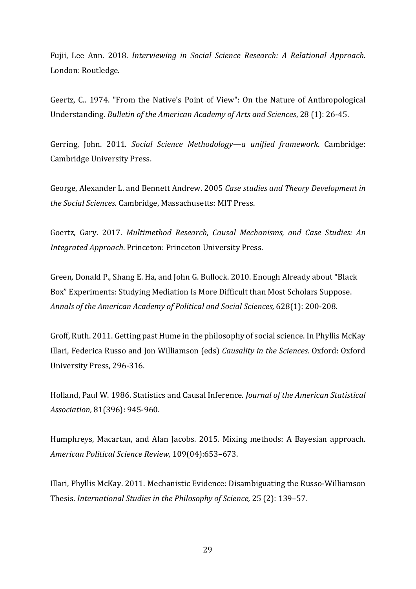Fujii, Lee Ann. 2018. *Interviewing in Social Science Research: A Relational Approach.*  London: Routledge.

Geertz, C.. 1974. "From the Native's Point of View": On the Nature of Anthropological Understanding. *Bulletin of the American Academy of Arts and Sciences*, 28 (1): 26-45.

Gerring, John. 2011. *Social Science Methodology—a unified framework*. Cambridge: Cambridge University Press.

George, Alexander L. and Bennett Andrew. 2005 *Case studies and Theory Development in the Social Sciences.* Cambridge, Massachusetts: MIT Press.

Goertz, Gary. 2017. *Multimethod Research, Causal Mechanisms, and Case Studies: An Integrated Approach*. Princeton: Princeton University Press.

Green, Donald P., Shang E. Ha, and John G. Bullock. 2010. Enough Already about "Black Box" Experiments: Studying Mediation Is More Difficult than Most Scholars Suppose. *Annals of the American Academy of Political and Social Sciences,* 628(1): 200-208.

Groff, Ruth. 2011. Getting past Hume in the philosophy of social science. In Phyllis McKay Illari, Federica Russo and Jon Williamson (eds) *Causality in the Sciences*. Oxford: Oxford University Press, 296-316.

Holland, Paul W. 1986. Statistics and Causal Inference. *Journal of the American Statistical Association,* 81(396): 945-960.

Humphreys, Macartan, and Alan Jacobs. 2015. Mixing methods: A Bayesian approach. *American Political Science Review,* 109(04):653–673.

Illari, Phyllis McKay. 2011. Mechanistic Evidence: Disambiguating the Russo-Williamson Thesis. *International Studies in the Philosophy of Science,* 25 (2): 139–57.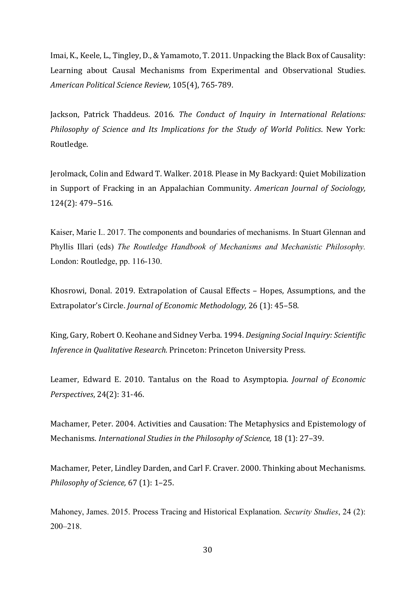Imai, K., Keele, L., Tingley, D., & Yamamoto, T. 2011. Unpacking the Black Box of Causality: Learning about Causal Mechanisms from Experimental and Observational Studies. *American Political Science Review,* 105(4), 765-789.

Jackson, Patrick Thaddeus. 2016. *The Conduct of Inquiry in International Relations: Philosophy of Science and Its Implications for the Study of World Politics*. New York: Routledge.

Jerolmack, Colin and Edward T. Walker. 2018. Please in My Backyard: Quiet Mobilization in Support of Fracking in an Appalachian Community. *American Journal of Sociology,*  124(2): 479–516.

Kaiser, Marie I.. 2017. The components and boundaries of mechanisms. In Stuart Glennan and Phyllis Illari (eds) *The Routledge Handbook of Mechanisms and Mechanistic Philosophy.*  London: Routledge, pp. 116-130.

Khosrowi, Donal. 2019. Extrapolation of Causal Effects – Hopes, Assumptions, and the Extrapolator's Circle. *Journal of Economic Methodology,* 26 (1): 45–58.

King, Gary, Robert O. Keohane and Sidney Verba. 1994. *Designing Social Inquiry: Scientific Inference in Qualitative Research.* Princeton: Princeton University Press.

Leamer, Edward E. 2010. Tantalus on the Road to Asymptopia. *Journal of Economic Perspectives*, 24(2): 31-46.

Machamer, Peter. 2004. Activities and Causation: The Metaphysics and Epistemology of Mechanisms. *International Studies in the Philosophy of Science,* 18 (1): 27–39.

Machamer, Peter, Lindley Darden, and Carl F. Craver. 2000. Thinking about Mechanisms. *Philosophy of Science,* 67 (1): 1–25.

Mahoney, James. 2015. Process Tracing and Historical Explanation. *Security Studies*, 24 (2): 200–218.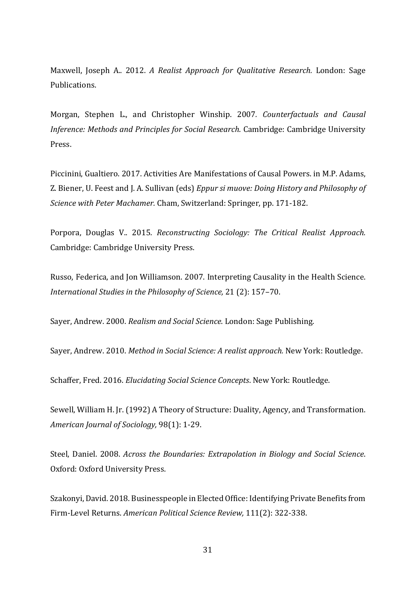Maxwell, Joseph A.. 2012. *A Realist Approach for Qualitative Research.* London: Sage Publications.

Morgan, Stephen L., and Christopher Winship. 2007*. Counterfactuals and Causal Inference: Methods and Principles for Social Research*. Cambridge: Cambridge University Press.

Piccinini, Gualtiero. 2017. Activities Are Manifestations of Causal Powers. in M.P. Adams, Z. Biener, U. Feest and J. A. Sullivan (eds) *Eppur si muove: Doing History and Philosophy of Science with Peter Machamer.* Cham, Switzerland: Springer, pp. 171-182.

Porpora, Douglas V.. 2015. *Reconstructing Sociology: The Critical Realist Approach.*  Cambridge: Cambridge University Press.

Russo, Federica, and Jon Williamson. 2007. Interpreting Causality in the Health Science. *International Studies in the Philosophy of Science,* 21 (2): 157–70.

Sayer, Andrew. 2000. *Realism and Social Science*. London: Sage Publishing.

Sayer, Andrew. 2010. *Method in Social Science: A realist approach.* New York: Routledge.

Schaffer, Fred. 2016. *Elucidating Social Science Concepts*. New York: Routledge.

Sewell, William H. Jr. (1992) A Theory of Structure: Duality, Agency, and Transformation. *American Journal of Sociology,* 98(1): 1-29.

Steel, Daniel. 2008. *Across the Boundaries: Extrapolation in Biology and Social Science*. Oxford: Oxford University Press.

Szakonyi, David. 2018. Businesspeople in Elected Office: Identifying Private Benefits from Firm-Level Returns. *American Political Science Review,* 111(2): 322-338.